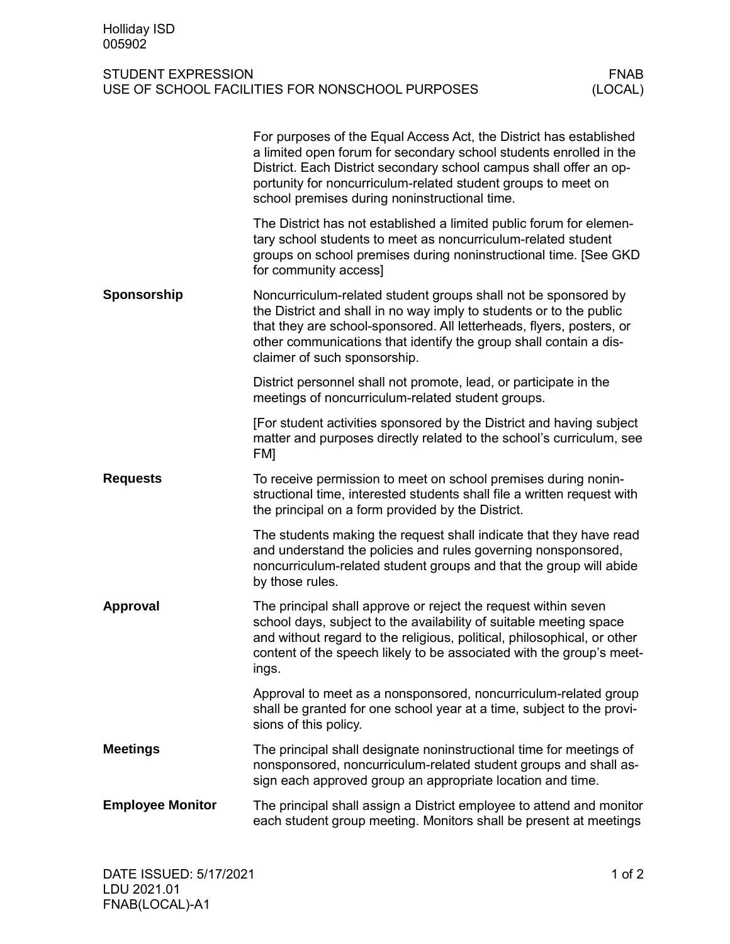## STUDENT EXPRESSION<br>USE OF SCHOOL FACILITIES FOR NONSCHOOL PURPOSES (LOCAL) USE OF SCHOOL FACILITIES FOR NONSCHOOL PURPOSES

|                         | For purposes of the Equal Access Act, the District has established<br>a limited open forum for secondary school students enrolled in the<br>District. Each District secondary school campus shall offer an op-<br>portunity for noncurriculum-related student groups to meet on<br>school premises during noninstructional time. |
|-------------------------|----------------------------------------------------------------------------------------------------------------------------------------------------------------------------------------------------------------------------------------------------------------------------------------------------------------------------------|
|                         | The District has not established a limited public forum for elemen-<br>tary school students to meet as noncurriculum-related student<br>groups on school premises during noninstructional time. [See GKD<br>for community access]                                                                                                |
| Sponsorship             | Noncurriculum-related student groups shall not be sponsored by<br>the District and shall in no way imply to students or to the public<br>that they are school-sponsored. All letterheads, flyers, posters, or<br>other communications that identify the group shall contain a dis-<br>claimer of such sponsorship.               |
|                         | District personnel shall not promote, lead, or participate in the<br>meetings of noncurriculum-related student groups.                                                                                                                                                                                                           |
|                         | [For student activities sponsored by the District and having subject<br>matter and purposes directly related to the school's curriculum, see<br>FM]                                                                                                                                                                              |
| <b>Requests</b>         | To receive permission to meet on school premises during nonin-<br>structional time, interested students shall file a written request with<br>the principal on a form provided by the District.                                                                                                                                   |
|                         | The students making the request shall indicate that they have read<br>and understand the policies and rules governing nonsponsored,<br>noncurriculum-related student groups and that the group will abide<br>by those rules.                                                                                                     |
| Approval                | The principal shall approve or reject the request within seven<br>school days, subject to the availability of suitable meeting space<br>and without regard to the religious, political, philosophical, or other<br>content of the speech likely to be associated with the group's meet-<br>ings.                                 |
|                         | Approval to meet as a nonsponsored, noncurriculum-related group<br>shall be granted for one school year at a time, subject to the provi-<br>sions of this policy.                                                                                                                                                                |
| <b>Meetings</b>         | The principal shall designate noninstructional time for meetings of<br>nonsponsored, noncurriculum-related student groups and shall as-<br>sign each approved group an appropriate location and time.                                                                                                                            |
| <b>Employee Monitor</b> | The principal shall assign a District employee to attend and monitor<br>each student group meeting. Monitors shall be present at meetings                                                                                                                                                                                        |